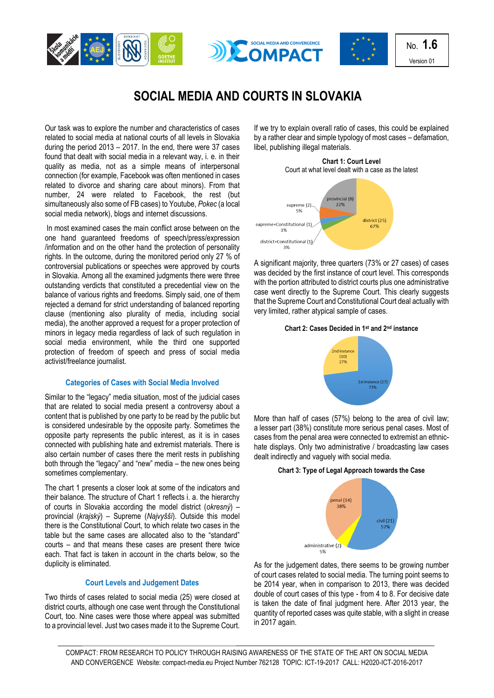





No. **1.6** Version 01

# **SOCIAL MEDIA AND COURTS IN SLOVAKIA**

Our task was to explore the number and characteristics of cases related to social media at national courts of all levels in Slovakia during the period 2013 – 2017. In the end, there were 37 cases found that dealt with social media in a relevant way, i. e. in their quality as media, not as a simple means of interpersonal connection (for example, Facebook was often mentioned in cases related to divorce and sharing care about minors). From that number, 24 were related to Facebook, the rest (but simultaneously also some of FB cases) to Youtube, *Pokec* (a local social media network), blogs and internet discussions.

In most examined cases the main conflict arose between on the one hand guaranteed freedoms of speech/press/expression /information and on the other hand the protection of personality rights. In the outcome, during the monitored period only 27 % of controversial publications or speeches were approved by courts in Slovakia. Among all the examined judgments there were three outstanding verdicts that constituted a precedential view on the balance of various rights and freedoms. Simply said, one of them rejected a demand for strict understanding of balanced reporting clause (mentioning also plurality of media, including social media), the another approved a request for a proper protection of minors in legacy media regardless of lack of such regulation in social media environment, while the third one supported protection of freedom of speech and press of social media activist/freelance journalist.

## **Categories of Cases with Social Media Involved**

Similar to the "legacy" media situation, most of the judicial cases that are related to social media present a controversy about a content that is published by one party to be read by the public but is considered undesirable by the opposite party. Sometimes the opposite party represents the public interest, as it is in cases connected with publishing hate and extremist materials. There is also certain number of cases there the merit rests in publishing both through the "legacy" and "new" media – the new ones being sometimes complementary.

The chart 1 presents a closer look at some of the indicators and their balance. The structure of Chart 1 reflects i. a. the hierarchy of courts in Slovakia according the model district (*okresný*) – provincial (*krajský*) – Supreme (*Najvyšší*). Outside this model there is the Constitutional Court, to which relate two cases in the table but the same cases are allocated also to the "standard" courts – and that means these cases are present there twice each. That fact is taken in account in the charts below, so the duplicity is eliminated.

#### **Court Levels and Judgement Dates**

Two thirds of cases related to social media (25) were closed at district courts, although one case went through the Constitutional Court, too. Nine cases were those where appeal was submitted to a provincial level. Just two cases made it to the Supreme Court.

If we try to explain overall ratio of cases, this could be explained by a rather clear and simple typology of most cases – defamation, libel, publishing illegal materials.



A significant majority, three quarters (73% or 27 cases) of cases was decided by the first instance of court level. This corresponds with the portion attributed to district courts plus one administrative case went directly to the Supreme Court. This clearly suggests that the Supreme Court and Constitutional Court deal actually with very limited, rather atypical sample of cases.

#### **Chart 2: Cases Decided in 1st and 2nd instance**



More than half of cases (57%) belong to the area of civil law; a lesser part (38%) constitute more serious penal cases. Most of cases from the penal area were connected to extremist an ethnichate displays. Only two administrative / broadcasting law cases dealt indirectly and vaguely with social media.

## **Chart 3: Type of Legal Approach towards the Case**



As for the judgement dates, there seems to be growing number of court cases related to social media. The turning point seems to be 2014 year, when in comparison to 2013, there was decided double of court cases of this type - from 4 to 8. For decisive date is taken the date of final judgment here. After 2013 year, the quantity of reported cases was quite stable, with a slight in crease in 2017 again.